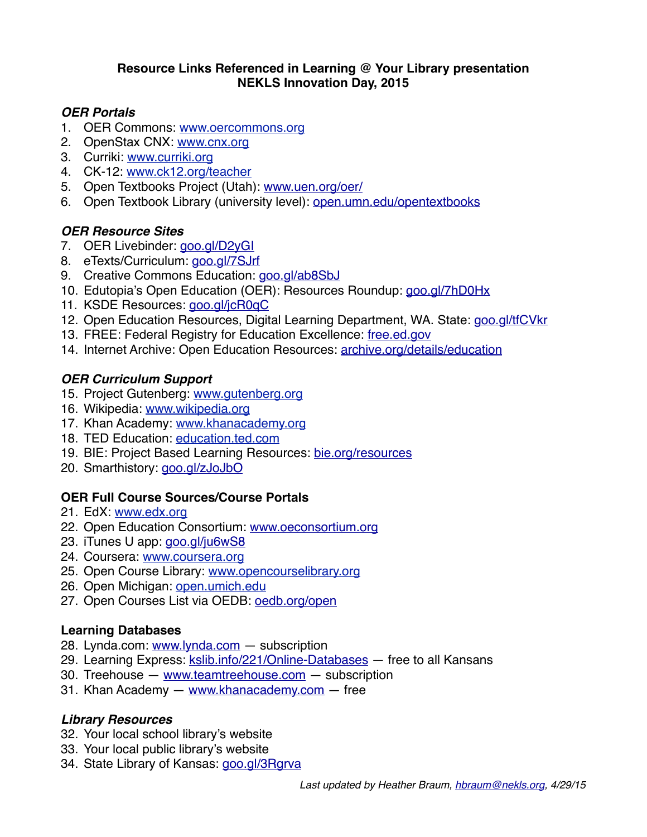#### **Resource Links Referenced in Learning @ Your Library presentation NEKLS Innovation Day, 2015**

#### *OER Portals*

- 1. OER Commons: [www.oercommons.org](http://www.oercommons.org)
- 2. OpenStax CNX: [www.cnx.org](http://www.cnx.org)
- 3. Curriki: [www.curriki.org](http://www.curriki.org)
- 4. CK-12: [www.ck12.org/teacher](http://www.ck12.org/teacher)
- 5. Open Textbooks Project (Utah): [www.uen.org/oer/](http://www.uen.org/oer/)
- 6. Open Textbook Library (university level): [open.umn.edu/opentextbooks](http://open.umn.edu/opentextbooks)

## *OER Resource Sites*

- 7. OER Livebinder: [goo.gl/D2yGI](http://goo.gl/D2yGI)
- 8. eTexts/Curriculum: [goo.gl/7SJrf](http://goo.gl/7SJrf)
- 9. Creative Commons Education: [goo.gl/ab8SbJ](http://goo.gl/ab8SbJ)
- 10. Edutopia's Open Education (OER): Resources Roundup: [goo.gl/7hD0Hx](http://goo.gl/7hD0Hx)
- 11. KSDE Resources: [goo.gl/jcR0qC](http://goo.gl/jcR0qC)
- 12. Open Education Resources, Digital Learning Department, WA. State: [goo.gl/tfCVkr](http://goo.gl/tfCVkr)
- 13. FREE: Federal Registry for Education Excellence: [free.ed.gov](http://free.ed.gov)
- 14. Internet Archive: Open Education Resources: [archive.org/details/education](http://archive.org/details/education)

# *OER Curriculum Support*

- 15. Project Gutenberg: [www.gutenberg.org](http://www.gutenberg.org)
- 16. Wikipedia: [www.wikipedia.org](http://www.wikipedia.org)
- 17. Khan Academy: [www.khanacademy.org](http://www.khanacademy.org)
- 18. TED Education: [education.ted.com](http://education.ted.com)
- 19. BIE: Project Based Learning Resources: [bie.org/resources](http://bie.org/resources)
- 20. Smarthistory: [goo.gl/zJoJbO](http://goo.gl/zJoJbO)

## **OER Full Course Sources/Course Portals**

- 21. EdX: [www.edx.org](https://www.edx.org)
- 22. Open Education Consortium: [www.oeconsortium.org](http://www.oeconsortium.org)
- 23. iTunes U app: [goo.gl/ju6wS8](http://goo.gl/ju6wS8)
- 24. Coursera: [www.coursera.org](http://www.coursera.org)
- 25. Open Course Library: [www.opencourselibrary.org](http://www.opencourselibrary.org)
- 26. Open Michigan: [open.umich.edu](http://open.umich.edu)
- 27. Open Courses List via OEDB: [oedb.org/open](http://oedb.org/open)

## **Learning Databases**

- 28. Lynda.com: [www.lynda.com](http://www.lynda.com)  subscription
- 29. Learning Express: [kslib.info/221/Online-Databases](http://kslib.info/221/Online-Databases)  free to all Kansans
- 30. Treehouse [www.teamtreehouse.com](http://www.teamtreehouse.com)  subscription
- 31. Khan Academy [www.khanacademy.com](http://www.khanacademy.com) free

## *Library Resources*

- 32. Your local school library's website
- 33. Your local public library's website
- 34. State Library of Kansas: [goo.gl/3Rgrva](http://goo.gl/3Rgrva)